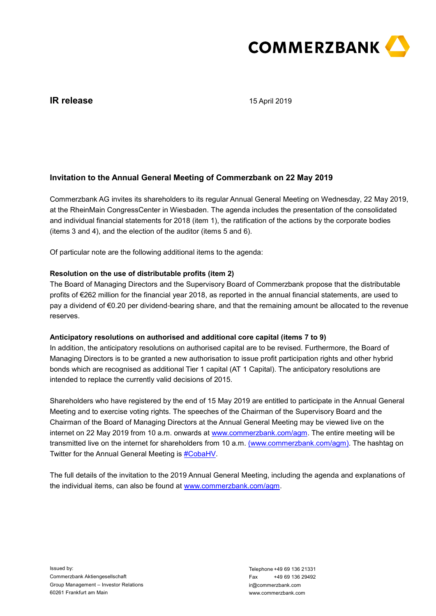

# **IR release**

15 April 2019

## **Invitation to the Annual General Meeting of Commerzbank on 22 May 2019**

Commerzbank AG invites its shareholders to its regular Annual General Meeting on Wednesday, 22 May 2019, at the RheinMain CongressCenter in Wiesbaden. The agenda includes the presentation of the consolidated and individual financial statements for 2018 (item 1), the ratification of the actions by the corporate bodies (items 3 and 4), and the election of the auditor (items 5 and 6).

Of particular note are the following additional items to the agenda:

## **Resolution on the use of distributable profits (item 2)**

The Board of Managing Directors and the Supervisory Board of Commerzbank propose that the distributable profits of €262 million for the financial year 2018, as reported in the annual financial statements, are used to pay a dividend of €0.20 per dividend-bearing share, and that the remaining amount be allocated to the revenue reserves.

## **Anticipatory resolutions on authorised and additional core capital (items 7 to 9)**

In addition, the anticipatory resolutions on authorised capital are to be revised. Furthermore, the Board of Managing Directors is to be granted a new authorisation to issue profit participation rights and other hybrid bonds which are recognised as additional Tier 1 capital (AT 1 Capital). The anticipatory resolutions are intended to replace the currently valid decisions of 2015.

Shareholders who have registered by the end of 15 May 2019 are entitled to participate in the Annual General Meeting and to exercise voting rights. The speeches of the Chairman of the Supervisory Board and the Chairman of the Board of Managing Directors at the Annual General Meeting may be viewed live on the internet on 22 May 2019 from 10 a.m. onwards at [www.commerzbank.com/agm.](http://www.commerzbank.com/agm) The entire meeting will be transmitted live on the internet for shareholders from 10 a.m. [\(www.commerzbank.com/agm\).](http://www.commerzbank.de/hv) The hashtag on Twitter for the Annual General Meeting is #CobaHV.

The full details of the invitation to the 2019 Annual General Meeting, including the agenda and explanations of the individual items, can also be found at [www.commerzbank.com/agm.](http://www.commerzbank.com/agm)